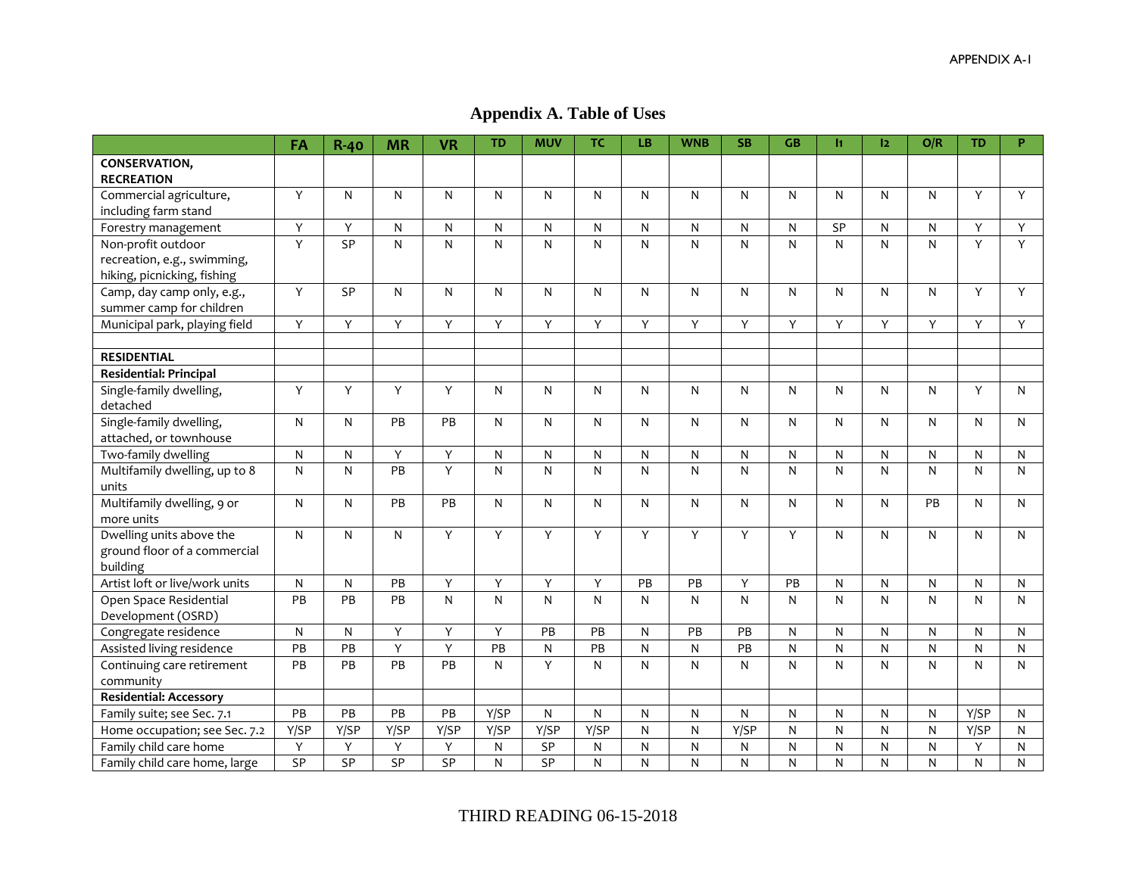**Appendix A. Table of Uses**

|                                    | FA              | $R-40$       | <b>MR</b>               | <b>VR</b>      | <b>TD</b>       | <b>MUV</b>   | <b>TC</b>       | LB.          | <b>WNB</b>   | <b>SB</b> | GB        | $\mathbf{H}$ | 12             | O/R            | <b>TD</b>      | P.             |
|------------------------------------|-----------------|--------------|-------------------------|----------------|-----------------|--------------|-----------------|--------------|--------------|-----------|-----------|--------------|----------------|----------------|----------------|----------------|
| CONSERVATION,<br><b>RECREATION</b> |                 |              |                         |                |                 |              |                 |              |              |           |           |              |                |                |                |                |
| Commercial agriculture,            | Y               | N            | $\mathsf{N}$            | N              | N               | N            | N               | N            | N            | N         | N         | N            | N              | N              | Y              | Y              |
| including farm stand               |                 |              |                         |                |                 |              |                 |              |              |           |           |              |                |                |                |                |
| Forestry management                | Υ               | Y            | N                       | N              | N               | N            | N               | $\mathsf{N}$ | N            | N         | N         | <b>SP</b>    | N              | N              | Y              | Y              |
| Non-profit outdoor                 | $\overline{Y}$  | SP           | $\overline{\mathsf{N}}$ | $\overline{N}$ | $\mathsf{N}$    | ${\sf N}$    | ${\sf N}$       | $\mathsf{N}$ | N            | N         | N         | N            | ${\sf N}$      | $\overline{N}$ | $\overline{Y}$ | $\overline{Y}$ |
| recreation, e.g., swimming,        |                 |              |                         |                |                 |              |                 |              |              |           |           |              |                |                |                |                |
| hiking, picnicking, fishing        |                 |              |                         |                |                 |              |                 |              |              |           |           |              |                |                |                |                |
| Camp, day camp only, e.g.,         | Y               | SP           | N                       | N              | N               | N            | N               | N            | N            | N         | N         | N            | N              | N              | Y              | Y              |
| summer camp for children           |                 |              |                         |                |                 |              |                 |              |              |           |           |              |                |                |                |                |
| Municipal park, playing field      | Υ               | Υ            | Υ                       | Y              | Y               | Y            | Y               | Y            | Y            | Y         | Y         | Υ            | Y              | Y              | Y              | Y              |
|                                    |                 |              |                         |                |                 |              |                 |              |              |           |           |              |                |                |                |                |
| <b>RESIDENTIAL</b>                 |                 |              |                         |                |                 |              |                 |              |              |           |           |              |                |                |                |                |
| <b>Residential: Principal</b>      |                 |              |                         |                |                 |              |                 |              |              |           |           |              |                |                |                |                |
| Single-family dwelling,            | Y               | Y            | Y                       | Y              | N               | N            | N               | N            | N            | N         | N         | N            | N              | N              | Y              | N              |
| detached                           |                 |              |                         |                |                 |              |                 |              |              |           |           |              |                |                |                |                |
| Single-family dwelling,            | ${\sf N}$       | N            | PB                      | PB             | N               | N            | N               | N            | N            | N         | N         | N            | N              | N              | $\mathsf{N}$   | $\mathsf{N}$   |
| attached, or townhouse             |                 |              |                         |                |                 |              |                 |              |              |           |           |              |                |                |                |                |
| Two-family dwelling                | $\mathsf{N}$    | N            | Y                       | Y              | N               | N            | $\mathsf{N}$    | $\mathsf{N}$ | N            | N         | N         | N            | $\mathsf{N}$   | N              | $\mathsf{N}$   | N              |
| Multifamily dwelling, up to 8      | ${\sf N}$       | N            | PB                      | Y              | N               | N            | N               | N            | N            | ${\sf N}$ | N         | N            | ${\sf N}$      | $\mathsf{N}$   | ${\sf N}$      | N              |
| units                              |                 |              |                         |                |                 |              |                 |              |              |           |           |              |                |                |                |                |
| Multifamily dwelling, 9 or         | ${\sf N}$       | N            | PB                      | PB             | N               | $\mathsf{N}$ | N               | N            | $\mathsf{N}$ | N         | N         | N            | N              | PB             | $\mathsf{N}$   | N              |
| more units                         |                 |              |                         |                |                 |              |                 |              |              |           |           |              |                |                |                |                |
| Dwelling units above the           | ${\sf N}$       | N            | N                       | Y              | Y               | Y            | Y               | Y            | Y            | Y         | Y         | N            | ${\sf N}$      | N              | $\mathsf{N}$   | N              |
| ground floor of a commercial       |                 |              |                         |                |                 |              |                 |              |              |           |           |              |                |                |                |                |
| building                           |                 |              |                         |                |                 |              |                 |              |              |           |           |              |                |                |                |                |
| Artist loft or live/work units     | N               | $\mathsf{N}$ | PB                      | Υ              | Υ               | Y            | Y               | PB           | PB           | Y         | PB        | N            | ${\sf N}$      | N              | $\mathsf{N}$   | N              |
| Open Space Residential             | PB              | PB           | PB                      | $\mathsf{N}$   | N               | $\mathsf{N}$ | N               | N            | N            | N         | N         | N            | N              | N              | $\mathsf{N}$   | N              |
| Development (OSRD)                 |                 |              |                         |                |                 |              |                 |              |              |           |           |              |                |                |                |                |
| Congregate residence               | ${\sf N}$       | N            | Y                       | Y              | Y               | PB           | PB              | N            | PB           | PB        | N         | N            | $\mathsf{N}$   | ${\sf N}$      | $\mathsf{N}$   | N              |
| Assisted living residence          | $\overline{PB}$ | PB           | Υ                       | $\overline{Y}$ | $\overline{PB}$ | ${\sf N}$    | $\overline{PB}$ | ${\sf N}$    | ${\sf N}$    | PB        | ${\sf N}$ | ${\sf N}$    | $\overline{N}$ | $\overline{N}$ | N              | N              |
| Continuing care retirement         | PB              | PB           | PB                      | PB             | N               | Y            | N               | N            | N            | N         | N         | N            | N              | N              | $\mathsf{N}$   | N              |
| community                          |                 |              |                         |                |                 |              |                 |              |              |           |           |              |                |                |                |                |
| <b>Residential: Accessory</b>      |                 |              |                         |                |                 |              |                 |              |              |           |           |              |                |                |                |                |
| Family suite; see Sec. 7.1         | PB              | PB           | PB                      | PB             | Y/SP            | N            | ${\sf N}$       | N            | N            | ${\sf N}$ | ${\sf N}$ | N            | ${\sf N}$      | ${\sf N}$      | Y/SP           | N              |
| Home occupation; see Sec. 7.2      | Y/SP            | Y/SP         | Y/SP                    | Y/SP           | Y/SP            | Y/SP         | Y/SP            | $\mathsf{N}$ | N            | Y/SP      | ${\sf N}$ | N            | $\mathsf{N}$   | $\mathsf{N}$   | Y/SP           | N              |
| Family child care home             | Υ               | Υ            | Υ                       | Υ              | N               | SP           | ${\sf N}$       | ${\sf N}$    | ${\sf N}$    | ${\sf N}$ | ${\sf N}$ | ${\sf N}$    | $\overline{N}$ | $\overline{N}$ | Y              | N              |
| Family child care home, large      | SP              | SP           | SP                      | SP             | N               | SP           | $\mathsf{N}$    | N            | N            | N         | ${\sf N}$ | N            | ${\sf N}$      | ${\sf N}$      | $\mathsf{N}$   | N              |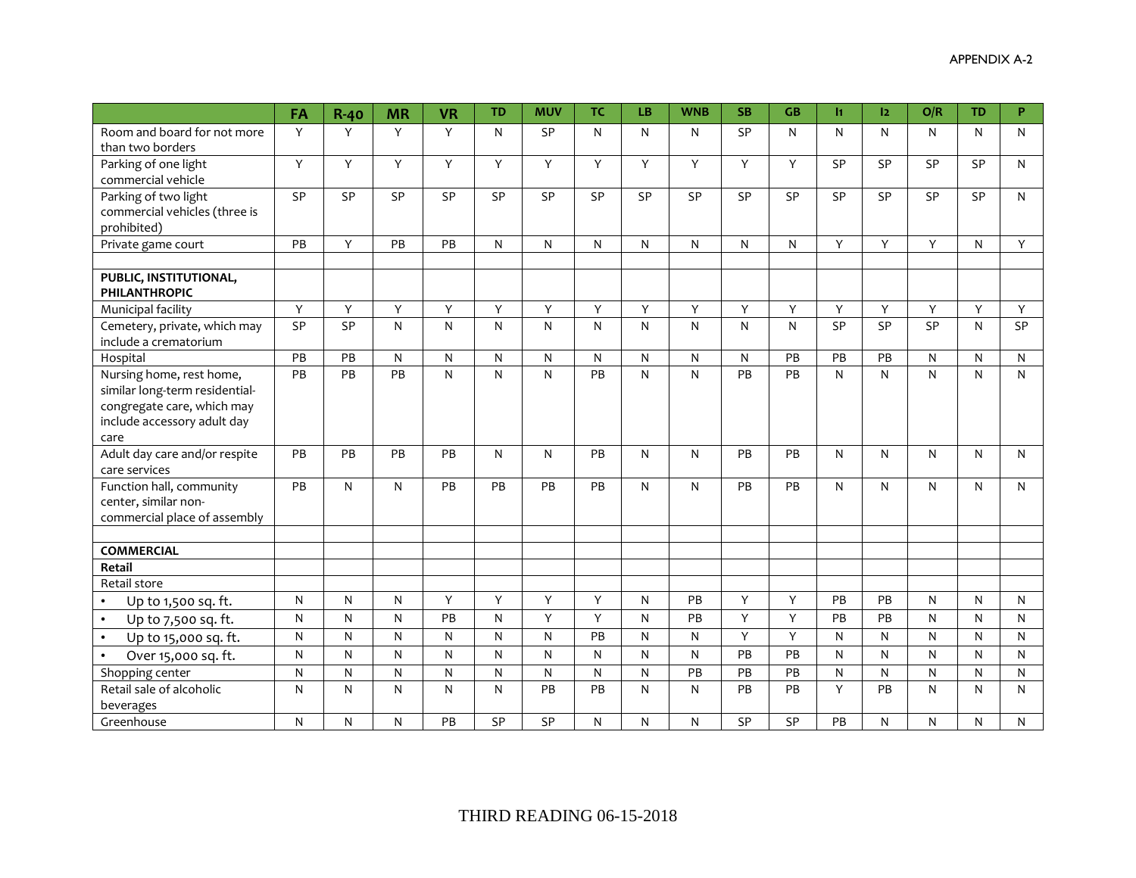|                                                | FA           | $R-40$    | <b>MR</b>    | <b>VR</b> | <b>TD</b>    | <b>MUV</b>   | <b>TC</b>    | LB           | <b>WNB</b>   | <b>SB</b> | <b>GB</b>    | $\mathbf{H}$ | 2         | O/R       | <b>TD</b>    | P. |
|------------------------------------------------|--------------|-----------|--------------|-----------|--------------|--------------|--------------|--------------|--------------|-----------|--------------|--------------|-----------|-----------|--------------|----|
| Room and board for not more                    | Y            | Y         | Y            | Y         | N            | SP           | N            | $\mathsf{N}$ | N            | SP        | N            | N            | N         | N         | $\mathsf{N}$ | N  |
| than two borders                               |              |           |              |           |              |              |              |              |              |           |              |              |           |           |              |    |
| Parking of one light                           | Y            | Y         | Y            | Y         | Y            | Y            | Y            | Y            | Y            | Y         | Y            | <b>SP</b>    | SP        | <b>SP</b> | <b>SP</b>    | N  |
| commercial vehicle                             |              |           |              |           |              |              |              |              |              |           |              |              |           |           |              |    |
| Parking of two light                           | SP           | SP        | SP           | SP        | SP           | SP           | SP           | <b>SP</b>    | SP           | SP        | SP           | SP           | SP        | SP        | <b>SP</b>    | N  |
| commercial vehicles (three is                  |              |           |              |           |              |              |              |              |              |           |              |              |           |           |              |    |
| prohibited)                                    |              |           |              |           |              |              |              |              |              |           |              |              |           |           |              |    |
| Private game court                             | PB           | Y         | PB           | PB        | $\mathsf{N}$ | ${\sf N}$    | N            | $\mathsf{N}$ | $\mathsf{N}$ | N         | $\mathsf{N}$ | Y            | Y         | Y         | $\mathsf{N}$ | Y  |
| PUBLIC, INSTITUTIONAL,                         |              |           |              |           |              |              |              |              |              |           |              |              |           |           |              |    |
| <b>PHILANTHROPIC</b>                           |              |           |              |           |              |              |              |              |              |           |              |              |           |           |              |    |
| Municipal facility                             | Y            | Y         | Υ            | Υ         | Υ            | Y            | Y            | Y            | Y            | Υ         | Υ            | $\mathsf Y$  | Y         | Υ         | Y            | Y  |
| Cemetery, private, which may                   | <b>SP</b>    | <b>SP</b> | $\mathsf{N}$ | N         | $\mathsf{N}$ | N            | N            | $\mathsf{N}$ | $\mathsf{N}$ | N         | $\mathsf{N}$ | SP           | SP        | SP        | $\mathsf{N}$ | SP |
| include a crematorium                          |              |           |              |           |              |              |              |              |              |           |              |              |           |           |              |    |
| Hospital                                       | PB           | PB        | ${\sf N}$    | ${\sf N}$ | $\mathsf{N}$ | ${\sf N}$    | $\mathsf{N}$ | $\mathsf{N}$ | N            | N         | PB           | PB           | PB        | N         | $\mathsf{N}$ | N  |
| Nursing home, rest home,                       | PB           | PB        | PB           | N         | $\mathsf{N}$ | N            | PB           | $\mathsf{N}$ | $\mathsf{N}$ | PB        | PB           | N            | N         | N         | N            | N  |
| similar long-term residential-                 |              |           |              |           |              |              |              |              |              |           |              |              |           |           |              |    |
| congregate care, which may                     |              |           |              |           |              |              |              |              |              |           |              |              |           |           |              |    |
| include accessory adult day                    |              |           |              |           |              |              |              |              |              |           |              |              |           |           |              |    |
| care                                           |              |           |              |           |              |              |              |              |              |           |              |              |           |           |              |    |
| Adult day care and/or respite<br>care services | PB           | PB        | PB           | PB        | N            | N            | PB           | N            | $\mathsf{N}$ | PB        | PB           | N            | N         | N         | N            | N  |
| Function hall, community                       | PB           | N         | N            | PB        | PB           | PB           | PB           | N            | N            | PB        | PB           | N            | N         | N         | N            | N  |
| center, similar non-                           |              |           |              |           |              |              |              |              |              |           |              |              |           |           |              |    |
| commercial place of assembly                   |              |           |              |           |              |              |              |              |              |           |              |              |           |           |              |    |
|                                                |              |           |              |           |              |              |              |              |              |           |              |              |           |           |              |    |
| <b>COMMERCIAL</b>                              |              |           |              |           |              |              |              |              |              |           |              |              |           |           |              |    |
| Retail                                         |              |           |              |           |              |              |              |              |              |           |              |              |           |           |              |    |
| Retail store                                   |              |           |              |           |              |              |              |              |              |           |              |              |           |           |              |    |
| Up to 1,500 sq. ft.<br>$\bullet$               | N            | N         | $\mathsf{N}$ | Y         | Y            | Y            | Y            | $\mathsf{N}$ | PB           | Y         | Y            | PB           | PB        | N         | $\mathsf{N}$ | N  |
| $\bullet$<br>Up to 7,500 sq. ft.               | ${\sf N}$    | N         | ${\sf N}$    | PB        | N            | Y            | Y            | $\mathsf{N}$ | PB           | Y         | Y            | PB           | PB        | N         | $\mathsf{N}$ | N  |
| $\bullet$<br>Up to 15,000 sq. ft.              | $\mathsf{N}$ | N         | $\mathsf{N}$ | N         | $\mathsf{N}$ | $\mathsf{N}$ | PB           | $\mathsf{N}$ | N            | Y         | Y            | N            | N         | N         | $\mathsf{N}$ | N  |
| Over 15,000 sq. ft.<br>$\bullet$               | N            | N         | N            | N         | N            | N            | N            | N            | N            | PB        | PB           | N            | N         | N         | N            | N  |
| Shopping center                                | ${\sf N}$    | N         | ${\sf N}$    | ${\sf N}$ | ${\sf N}$    | ${\sf N}$    | ${\sf N}$    | $\mathsf{N}$ | PB           | PB        | PB           | ${\sf N}$    | ${\sf N}$ | N         | $\mathsf{N}$ | N  |
| Retail sale of alcoholic                       | N            | N         | N            | N         | $\mathsf{N}$ | PB           | PB           | N            | N            | PB        | PB           | Y            | PB        | N         | $\mathsf{N}$ | N  |
| beverages                                      |              |           |              |           |              |              |              |              |              |           |              |              |           |           |              |    |
| Greenhouse                                     | N            | N         | $\mathsf{N}$ | PB        | SP           | SP           | N            | $\mathsf{N}$ | N            | SP        | SP           | PB           | N         | N         | ${\sf N}$    | N  |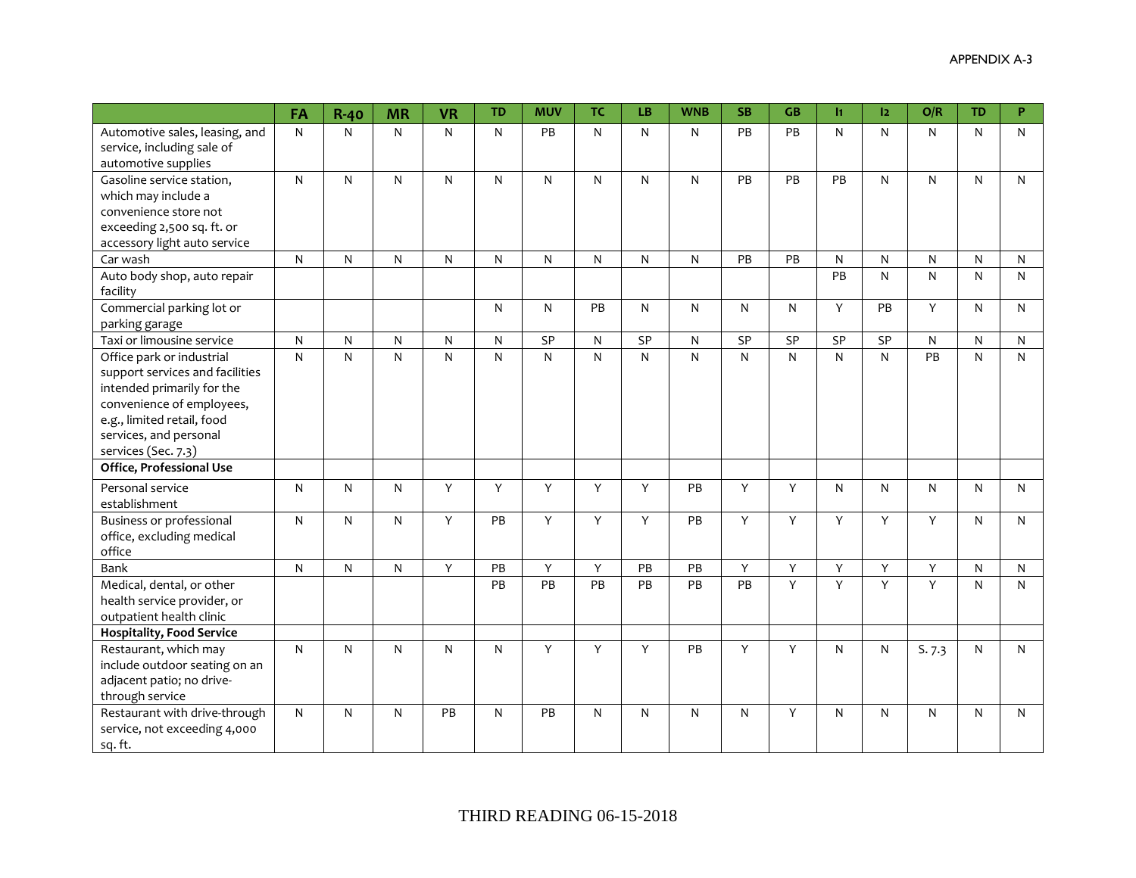|                                                                                                                                                                                                        | FA | $R-40$ | <b>MR</b>    | <b>VR</b> | <b>TD</b> | <b>MUV</b>   | <b>TC</b>    | <b>LB</b> | <b>WNB</b>   | <b>SB</b> | <b>GB</b> | I1 | 12        | O/R          | <b>TD</b>    | P |
|--------------------------------------------------------------------------------------------------------------------------------------------------------------------------------------------------------|----|--------|--------------|-----------|-----------|--------------|--------------|-----------|--------------|-----------|-----------|----|-----------|--------------|--------------|---|
| Automotive sales, leasing, and<br>service, including sale of<br>automotive supplies                                                                                                                    | N  | N      | $\mathsf{N}$ | N         | N         | PB           | $\mathsf{N}$ | N         | N            | PB        | PB        | N  | N         | N            | $\mathsf{N}$ | N |
| Gasoline service station,<br>which may include a<br>convenience store not<br>exceeding 2,500 sq. ft. or<br>accessory light auto service                                                                | N  | N      | $\mathsf{N}$ | N         | N         | $\mathsf{N}$ | $\mathsf{N}$ | N         | N            | PB        | PB        | PB | N         | N            | $\mathsf{N}$ | N |
| Car wash                                                                                                                                                                                               | N  | N      | $\mathsf{N}$ | N         | N         | N            | $\mathsf{N}$ | N         | N            | PB        | PB        | N  | N         | N            | N            | N |
| Auto body shop, auto repair<br>facility                                                                                                                                                                |    |        |              |           |           |              |              |           |              |           |           | PB | ${\sf N}$ | $\mathsf{N}$ | $\mathsf{N}$ | N |
| Commercial parking lot or<br>parking garage                                                                                                                                                            |    |        |              |           | N         | N            | PB           | N         | N            | N         | N         | Y  | PB        | Y            | N            | N |
| Taxi or limousine service                                                                                                                                                                              | N  | N      | $\mathsf{N}$ | N         | N         | SP           | $\mathsf{N}$ | <b>SP</b> | N            | SP        | <b>SP</b> | SP | SP        | N            | $\mathsf{N}$ | N |
| Office park or industrial<br>support services and facilities<br>intended primarily for the<br>convenience of employees,<br>e.g., limited retail, food<br>services, and personal<br>services (Sec. 7.3) | N  | N      | ${\sf N}$    | N         | N         | $\mathsf{N}$ | $\mathsf{N}$ | N         | $\mathsf{N}$ | N         | N         | N  | N         | PB           | $\mathsf{N}$ | N |
| Office, Professional Use                                                                                                                                                                               |    |        |              |           |           |              |              |           |              |           |           |    |           |              |              |   |
| Personal service<br>establishment                                                                                                                                                                      | N  | N      | $\mathsf{N}$ | Y         | Y         | Y            | Y            | Y         | PB           | Y         | Y         | N  | N         | N            | $\mathsf{N}$ | N |
| Business or professional<br>office, excluding medical<br>office                                                                                                                                        | N  | N      | $\mathsf{N}$ | Y         | PB        | Y            | Y            | Υ         | PB           | Y         | Y         | Y  | Y         | Y            | $\mathsf{N}$ | N |
| <b>Bank</b>                                                                                                                                                                                            | N  | N      | N            | Y         | PB        | Y            | Y            | PB        | PB           | Y         | Y         | Y  | Υ         | Υ            | N            | N |
| Medical, dental, or other<br>health service provider, or<br>outpatient health clinic                                                                                                                   |    |        |              |           | PB        | PB           | PB           | PB        | PB           | PB        | Y         | Y  | Y         | Y            | N            | N |
| <b>Hospitality, Food Service</b>                                                                                                                                                                       |    |        |              |           |           |              |              |           |              |           |           |    |           |              |              |   |
| Restaurant, which may<br>include outdoor seating on an<br>adjacent patio; no drive-<br>through service                                                                                                 | N  | N      | ${\sf N}$    | ${\sf N}$ | N         | Y            | Y            | Y         | PB           | Y         | Y         | N  | N         | S.7.3        | $\mathsf{N}$ | N |
| Restaurant with drive-through<br>service, not exceeding 4,000<br>sq. ft.                                                                                                                               | N  | N      | $\mathsf{N}$ | PB        | N         | PB           | $\mathsf{N}$ | N         | N            | N         | Y         | N  | N         | N            | $\mathsf{N}$ | N |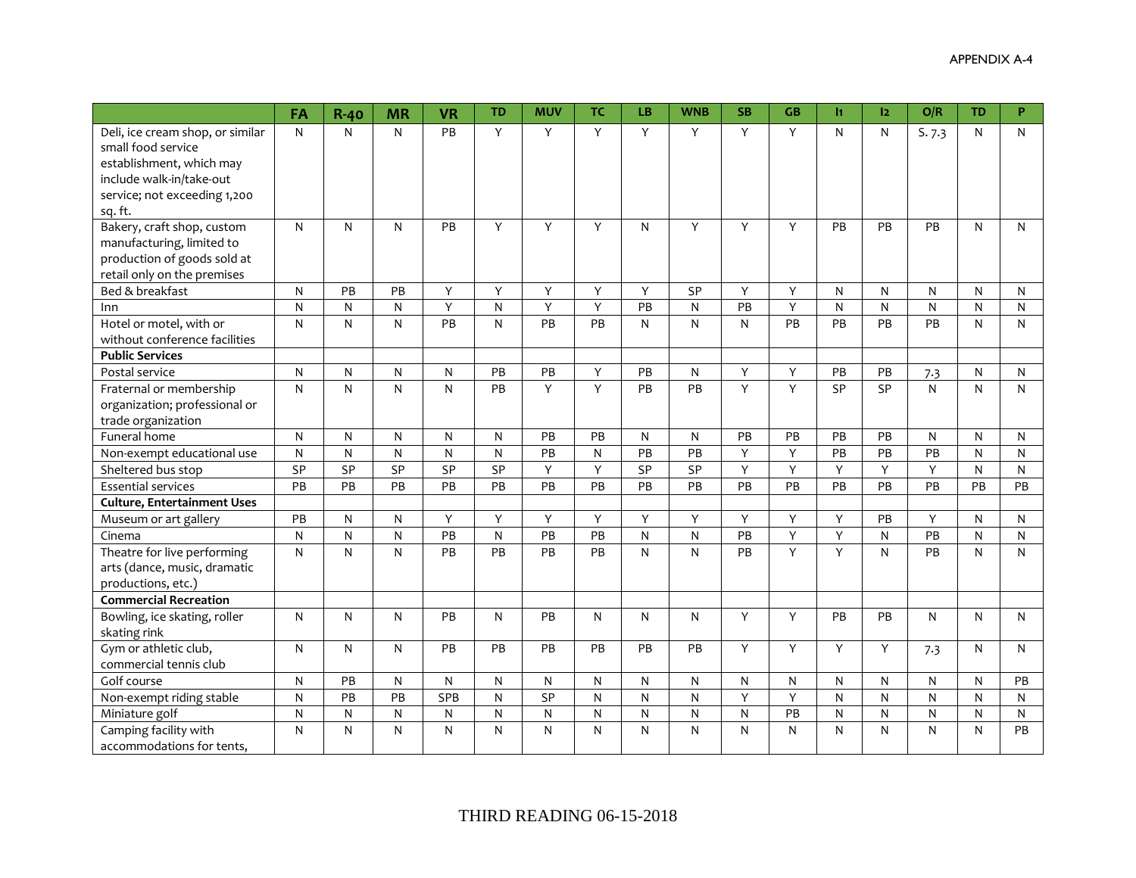|                                    | FA        | $R-40$       | <b>MR</b>      | <b>VR</b>       | <b>TD</b>    | <b>MUV</b>   | <b>TC</b>    | <b>LB</b> | <b>WNB</b>      | <b>SB</b>    | <b>GB</b> | I1        | 2               | O/R                     | <b>TD</b>    | P  |
|------------------------------------|-----------|--------------|----------------|-----------------|--------------|--------------|--------------|-----------|-----------------|--------------|-----------|-----------|-----------------|-------------------------|--------------|----|
| Deli, ice cream shop, or similar   | N         | N            | N              | PB              | Υ            | Y            | Y            | Y         | Y               | Y            | Y         | N         | N               | S.7.3                   | N            | N  |
| small food service                 |           |              |                |                 |              |              |              |           |                 |              |           |           |                 |                         |              |    |
| establishment, which may           |           |              |                |                 |              |              |              |           |                 |              |           |           |                 |                         |              |    |
| include walk-in/take-out           |           |              |                |                 |              |              |              |           |                 |              |           |           |                 |                         |              |    |
| service; not exceeding 1,200       |           |              |                |                 |              |              |              |           |                 |              |           |           |                 |                         |              |    |
| sq. ft.                            |           |              |                |                 |              |              |              |           |                 |              |           |           |                 |                         |              |    |
| Bakery, craft shop, custom         | N         | N            | $\mathsf{N}$   | PB              | Y            | Y            | Y            | N         | Y               | Y            | Y         | PB        | PB              | PB                      | N            | N  |
| manufacturing, limited to          |           |              |                |                 |              |              |              |           |                 |              |           |           |                 |                         |              |    |
| production of goods sold at        |           |              |                |                 |              |              |              |           |                 |              |           |           |                 |                         |              |    |
| retail only on the premises        |           |              |                |                 |              |              |              |           |                 |              |           |           |                 |                         |              |    |
| Bed & breakfast                    | N         | PB           | PB             | Y               | Y            | Y            | Y            | Y         | SP              | Y            | Y         | N         | $\mathsf{N}$    | N                       | N            | N  |
| Inn                                | N         | N            | $\mathsf{N}$   | Υ               | $\mathsf{N}$ | Y            | Y            | PB        | N               | PB           | Y         | N         | ${\sf N}$       | ${\sf N}$               | $\mathsf{N}$ | N  |
| Hotel or motel, with or            | N         | $\mathsf{N}$ | N              | $\overline{PB}$ | N            | PB           | PB           | N         | N               | N            | PB        | PB        | PB              | PB                      | N            | N  |
| without conference facilities      |           |              |                |                 |              |              |              |           |                 |              |           |           |                 |                         |              |    |
| <b>Public Services</b>             |           |              |                |                 |              |              |              |           |                 |              |           |           |                 |                         |              |    |
| Postal service                     | ${\sf N}$ | N            | $\mathsf{N}$   | ${\sf N}$       | PB           | PB           | Y            | PB        | $\mathsf{N}$    | Y            | Y         | PB        | PB              | 7.3                     | N            | N  |
| Fraternal or membership            | N         | N            | $\mathsf{N}$   | N               | PB           | Y            | Y            | PB        | $\overline{PB}$ | $\mathsf{Y}$ | Y         | SP        | $\overline{SP}$ | $\mathsf{N}$            | $\mathsf{N}$ | N  |
| organization; professional or      |           |              |                |                 |              |              |              |           |                 |              |           |           |                 |                         |              |    |
| trade organization                 |           |              |                |                 |              |              |              |           |                 |              |           |           |                 |                         |              |    |
| Funeral home                       | N         | N            | $\mathsf{N}$   | N               | N            | PB           | PB           | N         | $\mathsf{N}$    | PB           | PB        | PB        | PB              | N                       | $\mathsf{N}$ | N  |
| Non-exempt educational use         | N         | N            | ${\sf N}$      | N               | N            | PB           | $\mathsf{N}$ | PB        | PB              | Y            | Y         | PB        | PB              | PB                      | N            | N  |
| Sheltered bus stop                 | SP        | SP           | SP             | SP              | SP           | Y            | Y            | SP        | SP              | Y            | Υ         | Y         | Y               | Y                       | N            | N  |
| <b>Essential services</b>          | PB        | PB           | PB             | PB              | PB           | PB           | PB           | PB        | PB              | PB           | PB        | PB        | PB              | PB                      | PB           | PB |
| <b>Culture, Entertainment Uses</b> |           |              |                |                 |              |              |              |           |                 |              |           |           |                 |                         |              |    |
| Museum or art gallery              | PB        | N            | $\mathsf{N}$   | Y               | Y            | Y            | Y            | Y         | Y               | Y            | Y         | Y         | PB              | Y                       | N            | N  |
| Cinema                             | N         | N            | $\mathsf{N}$   | PB              | N            | PB           | PB           | N         | $\mathsf{N}$    | PB           | Y         | Y         | N               | PB                      | $\mathsf{N}$ | N  |
| Theatre for live performing        | N         | N            | $\mathsf{N}$   | PB              | PB           | PB           | PB           | N         | $\mathsf{N}$    | PB           | Y         | Y         | N               | PB                      | N            | N  |
| arts (dance, music, dramatic       |           |              |                |                 |              |              |              |           |                 |              |           |           |                 |                         |              |    |
| productions, etc.)                 |           |              |                |                 |              |              |              |           |                 |              |           |           |                 |                         |              |    |
| <b>Commercial Recreation</b>       |           |              |                |                 |              |              |              |           |                 |              |           |           |                 |                         |              |    |
| Bowling, ice skating, roller       | N         | N            | $\mathsf{N}$   | PB              | N            | PB           | $\mathsf{N}$ | N         | $\mathsf{N}$    | Y            | Y         | PB        | PB              | N                       | $\mathsf{N}$ | N  |
| skating rink                       |           |              |                |                 |              |              |              |           |                 |              |           |           |                 |                         |              |    |
| Gym or athletic club,              | N         | N            | $\mathsf{N}$   | PB              | PB           | PB           | PB           | PB        | PB              | Y            | Y         | Y         | Y               | 7.3                     | $\mathsf{N}$ | N  |
| commercial tennis club             |           |              |                |                 |              |              |              |           |                 |              |           |           |                 |                         |              |    |
| Golf course                        | N         | <b>PB</b>    | $\mathsf{N}$   | N               | N            | N            | N            | N         | N               | N            | N         | N         | N               | N                       | N            | PB |
| Non-exempt riding stable           | N         | PB           | PB             | SPB             | N            | SP           | ${\sf N}$    | N         | N               | Y            | Y         | N         | ${\sf N}$       | ${\sf N}$               | N            | N  |
| Miniature golf                     | ${\sf N}$ | N            | $\overline{N}$ | ${\sf N}$       | N            | $\mathsf{N}$ | ${\sf N}$    | N         | ${\sf N}$       | ${\sf N}$    | PB        | ${\sf N}$ | ${\sf N}$       | $\overline{\mathsf{N}}$ | $\mathsf{N}$ | N  |
| Camping facility with              | N         | N            | $\mathsf{N}$   | N               | N            | N            | $\mathsf{N}$ | N         | N               | N            | N         | N         | N               | N                       | N            | PB |
| accommodations for tents,          |           |              |                |                 |              |              |              |           |                 |              |           |           |                 |                         |              |    |